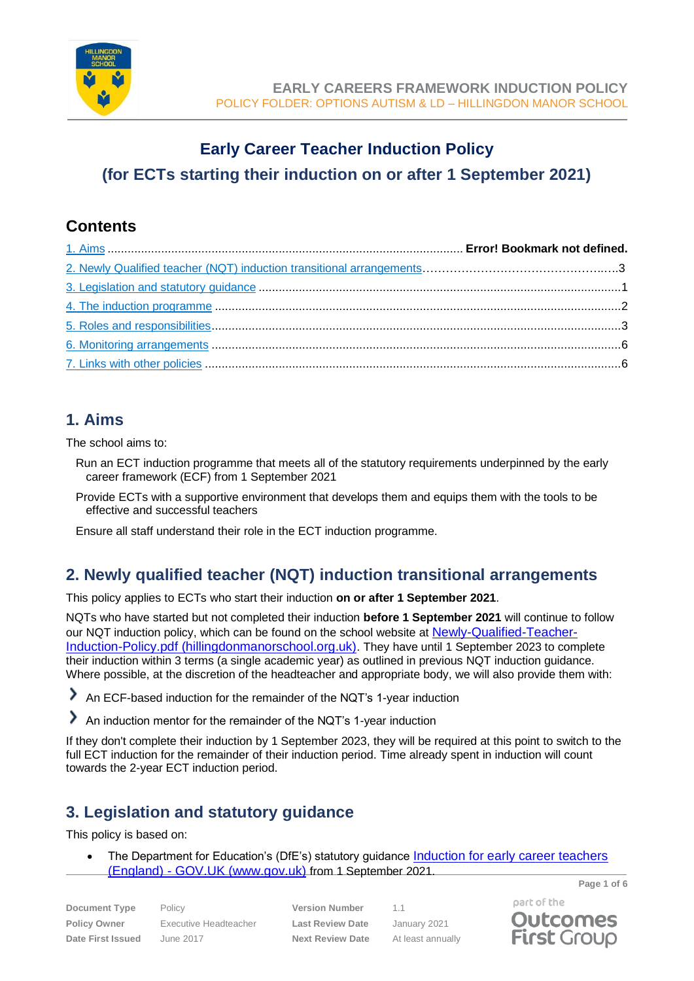

# **Early Career Teacher Induction Policy (for ECTs starting their induction on or after 1 September 2021)**

## **Contents**

## **1. Aims**

The school aims to:

- Run an ECT induction programme that meets all of the statutory requirements underpinned by the early career framework (ECF) from 1 September 2021
- Provide ECTs with a supportive environment that develops them and equips them with the tools to be effective and successful teachers

Ensure all staff understand their role in the ECT induction programme.

## **2. Newly qualified teacher (NQT) induction transitional arrangements**

This policy applies to ECTs who start their induction **on or after 1 September 2021**.

NQTs who have started but not completed their induction **before 1 September 2021** will continue to follow our NQT induction policy, which can be found on the school website at [Newly-Qualified-Teacher-](https://www.hillingdonmanorschool.org.uk/wp-content/uploads/2021/03/Newly-Qualified-Teacher-Induction-Policy.pdf)[Induction-Policy.pdf \(hillingdonmanorschool.org.uk\)](https://www.hillingdonmanorschool.org.uk/wp-content/uploads/2021/03/Newly-Qualified-Teacher-Induction-Policy.pdf). They have until 1 September 2023 to complete their induction within 3 terms (a single academic year) as outlined in previous NQT induction guidance. Where possible, at the discretion of the headteacher and appropriate body, we will also provide them with:

An ECF-based induction for the remainder of the NQT's 1-year induction

⋟ An induction mentor for the remainder of the NQT's 1-year induction

If they don't complete their induction by 1 September 2023, they will be required at this point to switch to the full ECT induction for the remainder of their induction period. Time already spent in induction will count towards the 2-year ECT induction period.

## <span id="page-0-0"></span>**3. Legislation and statutory guidance**

This policy is based on:

**Page 1 of 6** • The Department for Education's (DfE's) statutory guidance [Induction for early career teachers](https://www.gov.uk/government/publications/induction-for-early-career-teachers-england)  (England) - [GOV.UK \(www.gov.uk\)](https://www.gov.uk/government/publications/induction-for-early-career-teachers-england) from 1 September 2021.

**Document Type** Policy **Version Number** 1.1 **Policy Owner** Executive Headteacher **Last Review Date** January 2021 **Date First Issued** June 2017 **Next Review Date** At least annually

part of the **Outcomes** 

**First Group**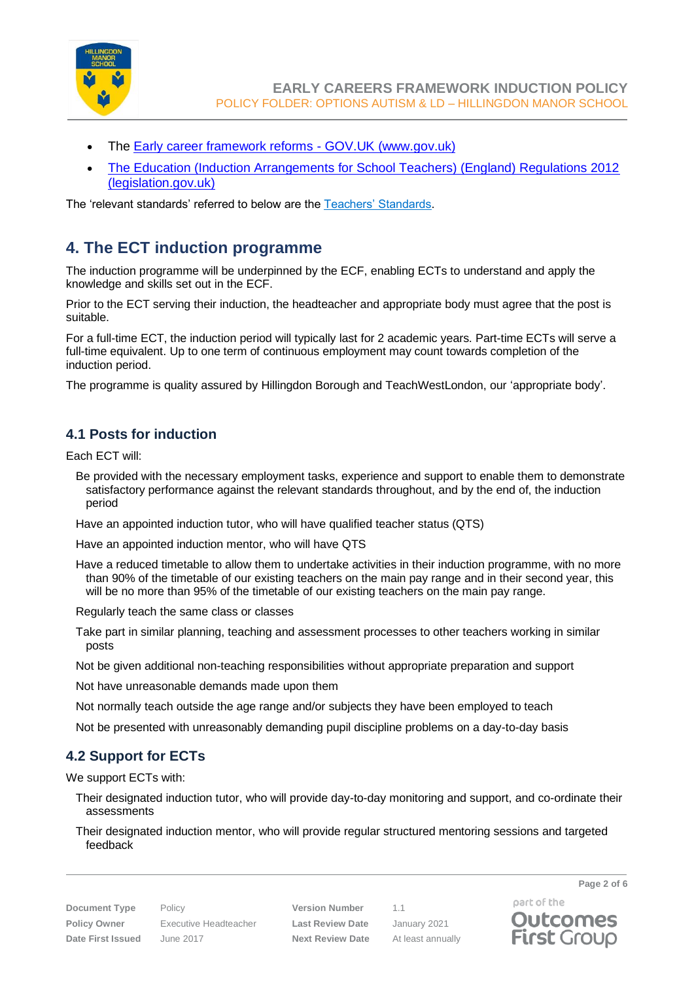

- The [Early career framework reforms -](https://www.gov.uk/government/collections/early-career-framework-reforms) GOV.UK (www.gov.uk)
- [The Education \(Induction Arrangements for School Teachers\) \(England\) Regulations 2012](https://www.legislation.gov.uk/uksi/2012/1115/contents/made)  [\(legislation.gov.uk\)](https://www.legislation.gov.uk/uksi/2012/1115/contents/made)

The 'relevant standards' referred to below are the [Teachers' Standards.](https://www.gov.uk/government/publications/teachers-standards)

### <span id="page-1-0"></span>**4. The ECT induction programme**

The induction programme will be underpinned by the ECF, enabling ECTs to understand and apply the knowledge and skills set out in the ECF.

Prior to the ECT serving their induction, the headteacher and appropriate body must agree that the post is suitable.

For a full-time ECT, the induction period will typically last for 2 academic years. Part-time ECTs will serve a full-time equivalent. Up to one term of continuous employment may count towards completion of the induction period.

The programme is quality assured by Hillingdon Borough and TeachWestLondon, our 'appropriate body'.

#### **4.1 Posts for induction**

Each ECT will:

Be provided with the necessary employment tasks, experience and support to enable them to demonstrate satisfactory performance against the relevant standards throughout, and by the end of, the induction period

Have an appointed induction tutor, who will have qualified teacher status (QTS)

Have an appointed induction mentor, who will have QTS

Have a reduced timetable to allow them to undertake activities in their induction programme, with no more than 90% of the timetable of our existing teachers on the main pay range and in their second year, this will be no more than 95% of the timetable of our existing teachers on the main pay range.

Regularly teach the same class or classes

- Take part in similar planning, teaching and assessment processes to other teachers working in similar posts
- Not be given additional non-teaching responsibilities without appropriate preparation and support

Not have unreasonable demands made upon them

Not normally teach outside the age range and/or subjects they have been employed to teach

Not be presented with unreasonably demanding pupil discipline problems on a day-to-day basis

### **4.2 Support for ECTs**

We support ECTs with:

- Their designated induction tutor, who will provide day-to-day monitoring and support, and co-ordinate their assessments
- Their designated induction mentor, who will provide regular structured mentoring sessions and targeted feedback



**First Group**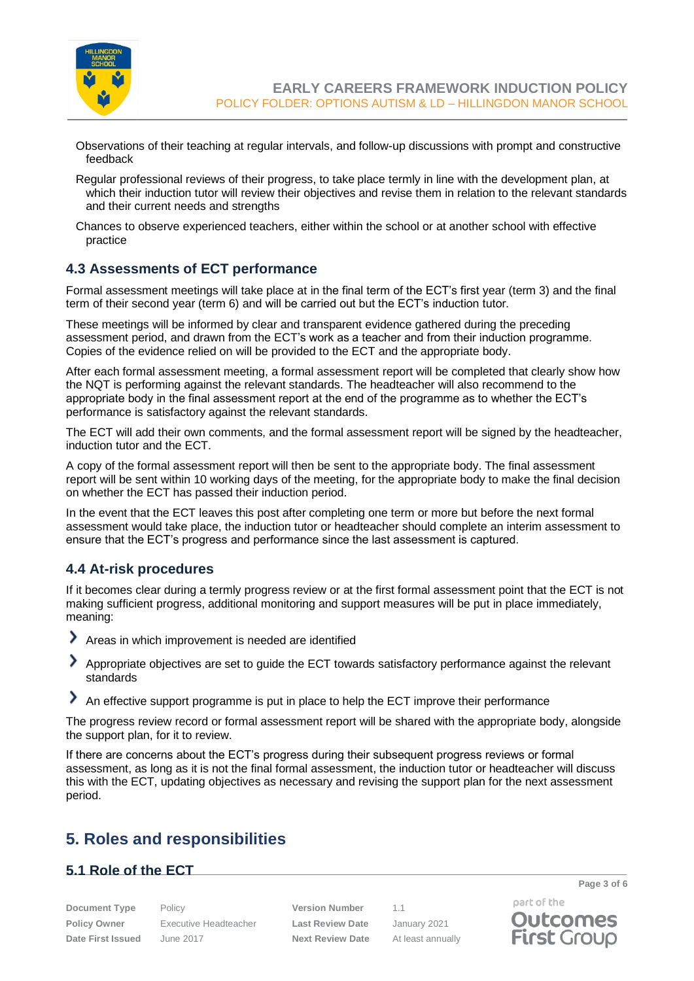

**EARLY CAREERS FRAMEWORK INDUCTION POLICY** POLICY FOLDER: OPTIONS AUTISM & LD – HILLINGDON MANOR SCHOOL

- Observations of their teaching at regular intervals, and follow-up discussions with prompt and constructive feedback
- Regular professional reviews of their progress, to take place termly in line with the development plan, at which their induction tutor will review their objectives and revise them in relation to the relevant standards and their current needs and strengths
- Chances to observe experienced teachers, either within the school or at another school with effective practice

#### **4.3 Assessments of ECT performance**

Formal assessment meetings will take place at in the final term of the ECT's first year (term 3) and the final term of their second year (term 6) and will be carried out but the ECT's induction tutor.

These meetings will be informed by clear and transparent evidence gathered during the preceding assessment period, and drawn from the ECT's work as a teacher and from their induction programme. Copies of the evidence relied on will be provided to the ECT and the appropriate body.

After each formal assessment meeting, a formal assessment report will be completed that clearly show how the NQT is performing against the relevant standards. The headteacher will also recommend to the appropriate body in the final assessment report at the end of the programme as to whether the ECT's performance is satisfactory against the relevant standards.

The ECT will add their own comments, and the formal assessment report will be signed by the headteacher, induction tutor and the ECT.

A copy of the formal assessment report will then be sent to the appropriate body. The final assessment report will be sent within 10 working days of the meeting, for the appropriate body to make the final decision on whether the ECT has passed their induction period.

In the event that the ECT leaves this post after completing one term or more but before the next formal assessment would take place, the induction tutor or headteacher should complete an interim assessment to ensure that the ECT's progress and performance since the last assessment is captured.

#### **4.4 At-risk procedures**

<span id="page-2-0"></span>If it becomes clear during a termly progress review or at the first formal assessment point that the ECT is not making sufficient progress, additional monitoring and support measures will be put in place immediately, meaning:

- ⋗ Areas in which improvement is needed are identified
- ᠈ Appropriate objectives are set to guide the ECT towards satisfactory performance against the relevant standards
- An effective support programme is put in place to help the ECT improve their performance

The progress review record or formal assessment report will be shared with the appropriate body, alongside the support plan, for it to review.

If there are concerns about the ECT's progress during their subsequent progress reviews or formal assessment, as long as it is not the final formal assessment, the induction tutor or headteacher will discuss this with the ECT, updating objectives as necessary and revising the support plan for the next assessment period.

## **5. Roles and responsibilities**

#### **5.1 Role of the ECT**

**Document Type** Policy **Version Number** 1.1 **Policy Owner** Executive Headteacher **Last Review Date** January 2021 **Date First Issued** June 2017 **Next Review Date** At least annually

part of the **Outcomes First Group** 

**Page 3 of 6**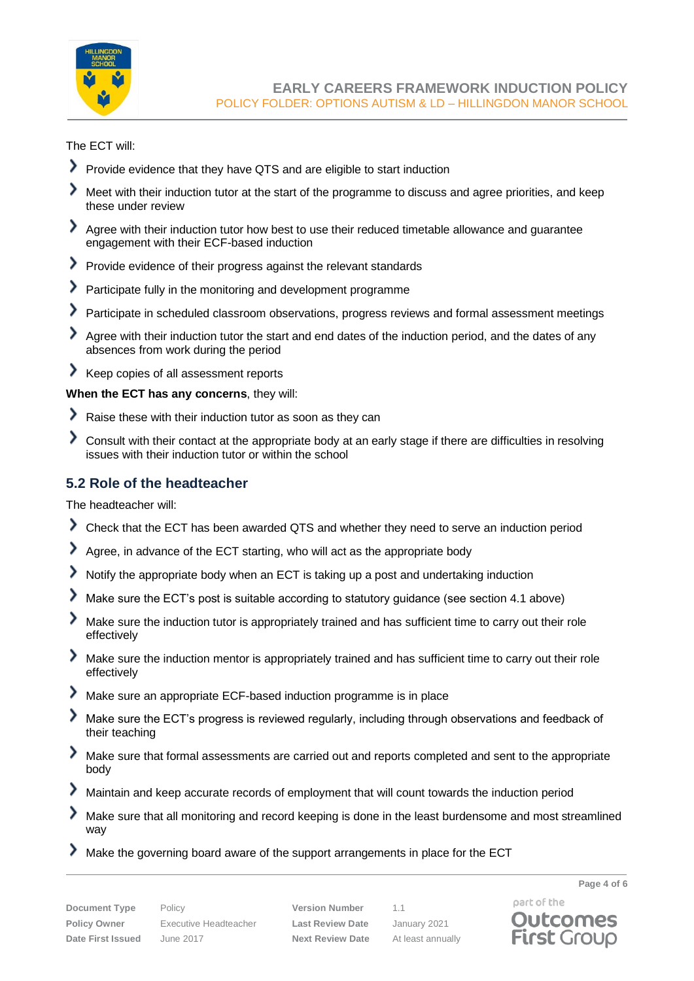

The ECT will:

- Provide evidence that they have QTS and are eligible to start induction
- ゝ Meet with their induction tutor at the start of the programme to discuss and agree priorities, and keep these under review
- Agree with their induction tutor how best to use their reduced timetable allowance and guarantee engagement with their ECF-based induction
- Provide evidence of their progress against the relevant standards
- ⋟ Participate fully in the monitoring and development programme
- እ Participate in scheduled classroom observations, progress reviews and formal assessment meetings
- ⋗ Agree with their induction tutor the start and end dates of the induction period, and the dates of any absences from work during the period
- Keep copies of all assessment reports

**When the ECT has any concerns**, they will:

- Raise these with their induction tutor as soon as they can
- እ Consult with their contact at the appropriate body at an early stage if there are difficulties in resolving issues with their induction tutor or within the school

### **5.2 Role of the headteacher**

The headteacher will:

- Check that the ECT has been awarded QTS and whether they need to serve an induction period
- ⋗ Agree, in advance of the ECT starting, who will act as the appropriate body
- ⋟ Notify the appropriate body when an ECT is taking up a post and undertaking induction
- ᠈ Make sure the ECT's post is suitable according to statutory guidance (see section 4.1 above)
- ⋟ Make sure the induction tutor is appropriately trained and has sufficient time to carry out their role effectively
- ⋟ Make sure the induction mentor is appropriately trained and has sufficient time to carry out their role effectively
- እ Make sure an appropriate ECF-based induction programme is in place
- ⋗ Make sure the ECT's progress is reviewed regularly, including through observations and feedback of their teaching
- ⋟ Make sure that formal assessments are carried out and reports completed and sent to the appropriate body
- ⋗ Maintain and keep accurate records of employment that will count towards the induction period
- ᠈ Make sure that all monitoring and record keeping is done in the least burdensome and most streamlined way
- ⋗ Make the governing board aware of the support arrangements in place for the ECT

**Page 4 of 6**

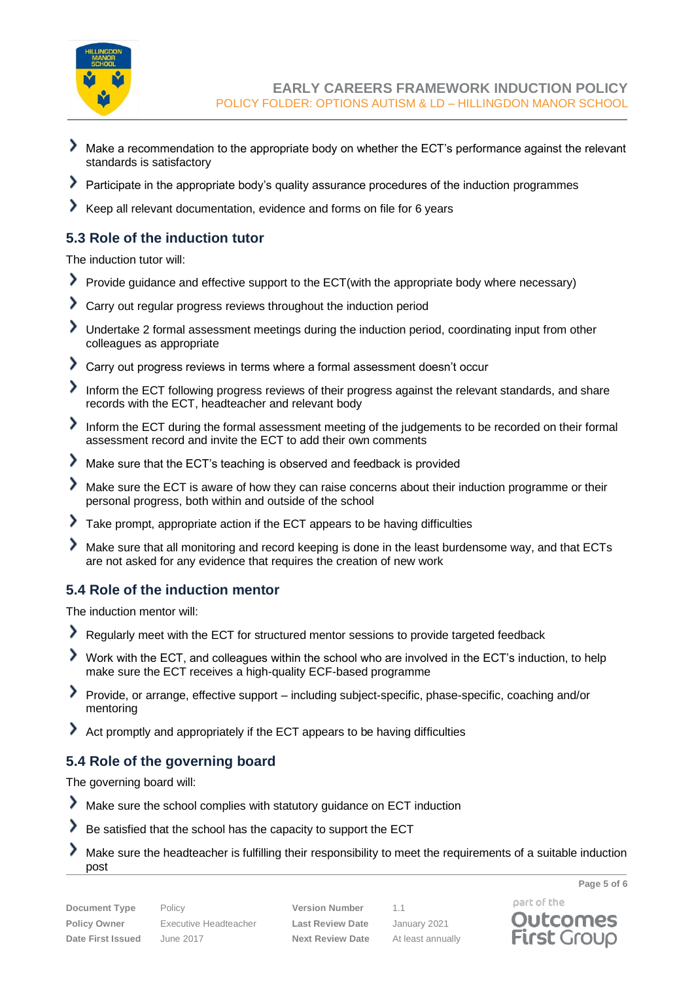

- ⋟ Make a recommendation to the appropriate body on whether the ECT's performance against the relevant standards is satisfactory
- Participate in the appropriate body's quality assurance procedures of the induction programmes ⋗
- ᠈ Keep all relevant documentation, evidence and forms on file for 6 years

### **5.3 Role of the induction tutor**

The induction tutor will:

- ⋗ Provide guidance and effective support to the ECT(with the appropriate body where necessary)
- ⟩ Carry out regular progress reviews throughout the induction period
- እ Undertake 2 formal assessment meetings during the induction period, coordinating input from other colleagues as appropriate
- ⋟ Carry out progress reviews in terms where a formal assessment doesn't occur
- ⋗ Inform the ECT following progress reviews of their progress against the relevant standards, and share records with the ECT, headteacher and relevant body
- Inform the ECT during the formal assessment meeting of the judgements to be recorded on their formal assessment record and invite the ECT to add their own comments
- ᠈ Make sure that the ECT's teaching is observed and feedback is provided
- ⋗ Make sure the ECT is aware of how they can raise concerns about their induction programme or their personal progress, both within and outside of the school
- እ Take prompt, appropriate action if the ECT appears to be having difficulties
- ゝ Make sure that all monitoring and record keeping is done in the least burdensome way, and that ECTs are not asked for any evidence that requires the creation of new work

#### **5.4 Role of the induction mentor**

The induction mentor will:

- ≻ Regularly meet with the ECT for structured mentor sessions to provide targeted feedback
- Work with the ECT, and colleagues within the school who are involved in the ECT's induction, to help make sure the ECT receives a high-quality ECF-based programme
- ⋗ Provide, or arrange, effective support – including subject-specific, phase-specific, coaching and/or mentoring
- Act promptly and appropriately if the ECT appears to be having difficulties

### **5.4 Role of the governing board**

The governing board will:

- ⋗ Make sure the school complies with statutory guidance on ECT induction
- ᠈ Be satisfied that the school has the capacity to support the ECT
- ゝ Make sure the headteacher is fulfilling their responsibility to meet the requirements of a suitable induction post

**Policy Owner** Executive Headteacher **Last Review Date** January 2021 **Date First Issued** June 2017 **Next Review Date** At least annually

**Document Type** Policy **Version Number** 1.1

part of the **Outcomes First Group** 

**Page 5 of 6**